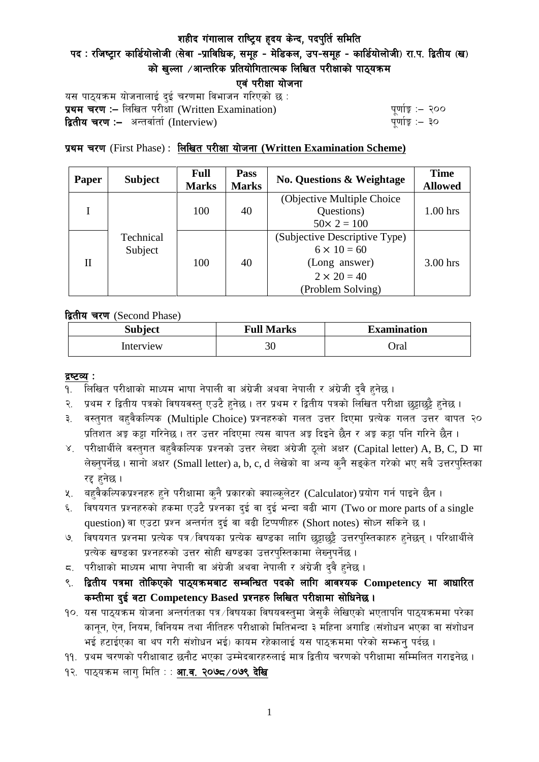पद: रजिष्ट्रार कार्डियोलोजी (सेवा -प्राविधिक, समूह - मेडिकल, उप-समूह - कार्डियोलोजी) रा.प. द्वितीय (ख) को खल्ला  $\angle$ आन्तरिक प्रतियोगितात्मक लिखित परीक्षाको पाठयक्रम

एवं परीक्षा योजना

यस पाठ्यक्रम योजनालाई दुई चरणमा विभाजन गरिएको छ : प्रथम चरण :- लिखित परीसा (Written Examination)  $\frac{d}{dx}$  and  $\frac{d}{dx}$  and  $\frac{d}{dx}$  are  $\frac{d}{dx}$ **द्वितीय चरण :–** अन्तर्वार्ता (Interview) k and the set of the set of the set of the set of the set of the set o

# प्रथम चरण (First Phase) : लिखित परीक्षा योजना (Written Examination Scheme)

| Paper | <b>Subject</b>       | Full<br><b>Marks</b> | Pass<br><b>Marks</b> | <b>No. Questions &amp; Weightage</b> | <b>Time</b><br><b>Allowed</b> |
|-------|----------------------|----------------------|----------------------|--------------------------------------|-------------------------------|
|       |                      |                      |                      | (Objective Multiple Choice)          |                               |
|       |                      | 100                  | 40                   | Questions)                           | $1.00$ hrs                    |
|       | Technical<br>Subject |                      |                      | $50 \times 2 = 100$                  |                               |
| П     |                      | 100                  | 40                   | (Subjective Descriptive Type)        |                               |
|       |                      |                      |                      | $6 \times 10 = 60$                   |                               |
|       |                      |                      |                      | (Long answer)                        | $3.00$ hrs                    |
|       |                      |                      |                      | $2 \times 20 = 40$                   |                               |
|       |                      |                      |                      | (Problem Solving)                    |                               |

द्वितीय चरण (Second Phase)

| <b>Subject</b> | <b>Full Marks</b> | <b>Examination</b> |  |
|----------------|-------------------|--------------------|--|
| Interview      | 30                | Oral               |  |

#### द्रष्टव्य :

- १. लिखित परीक्षाको माध्यम भाषा नेपाली वा अंग्रेजी अथवा नेपाली र अंग्रेजी द्वै हुनेछ ।
- २. प्रथम र द्वितीय पत्रको विषयवस्तु एउटै हुनेछ । तर प्रथम र द्वितीय पत्रको लिखित परीक्षा छुट्टाछुट्टै हुनेछ ।
- ३. वस्तुगत बहुवैकल्पिक (Multiple Choice) प्रश्नहरुको गलत उत्तर दिएमा प्रत्येक गलत उत्तर बापत २० प्रतिशत अड़ू कट्टा गरिनेछ । तर उत्तर नदिएमा त्यस बापत अड़ू दिइने छैन र अड़ू कट्टा पनि गरिने छैन ।
- ४. परीक्षार्थीले वस्तुगत बहुवैकल्पिक प्रश्नको उत्तर लेख्दा अंग्रेजी ठूलो अक्षर (Capital letter) A, B, C, D मा लेख्नुपर्नेछ । सानो अक्षर (Small letter) a, b, c, d लेखेको वा अन्य कुनै सङ्केत गरेको भए सबै उत्तरपुस्तिका रद्द हनेछ ।
- ५. वहवैकल्पिकप्रश्नहरु हुने परीक्षामा कुनै प्रकारको क्याल्कुलेटर (Calculator) प्रयोग गर्न पाइने छैन ।
- ६. विषयगत प्रश्नहरुको हकमा एउटै प्रश्नका दुई वा दुई भन्दा बढी भाग (Two or more parts of a single question) वा एउटा प्रश्न अन्तर्गत दुई वा बढी टिप्पणीहरु (Short notes) सोध्न सकिने छ।
- ७. विषयगत प्रश्नमा प्रत्येक पत्र ∕विषयका प्रत्येक खण्डका लागि छट्टाछट्टै उत्तरपुस्तिकाहरु हुनेछन् । परिक्षार्थीले प्रत्येक खण्डका प्रश्नहरुको उत्तर सोही खण्डका उत्तरपस्तिकामा लेख्नपर्नेछ ।
- $\,$ द. परीक्षाको माध्यम भाषा नेपाली वा अंग्रेजी अथवा नेपाली र अंग्रेजी द्वै हुनेछ ।
- ९. द्वितीय पत्रमा तोकिएको पाठ्यक्रमबाट सम्बन्धित पदको लागि आवश्यक Competency मा आधारित कम्तीमा दई वटा Competency Based प्रश्नहरु लिखित परीक्षामा सोधिनेछ।
- $10.$  यस पाठ्यक्रम योजना अन्तर्गतका पत्र /विषयका विषयवस्तुमा जेसुकै लेखिएको भएतापनि पाठ्यक्रममा परेका कानून, ऐन, नियम, विनियम तथा नीतिहरु परीक्षाको मितिभन्दा ३ महिना अगाडि (संशोधन भएका वा संशोधन भई हटाईएका वा थप गरी संशोधन भई) कायम रहेकालाई यस पाठकममा परेको सम्भन्न पर्दछ ।
- ११. प्रथम चरणको परीक्षाबाट छनौट भएका उम्मेदवारहरुलाई मात्र द्वितीय चरणको परीक्षामा सम्मिलित गराइनेछ ।
- १२. पाठ्यक्रम लाग मिति : : **आ.व. २०७८ /०७९ देखि**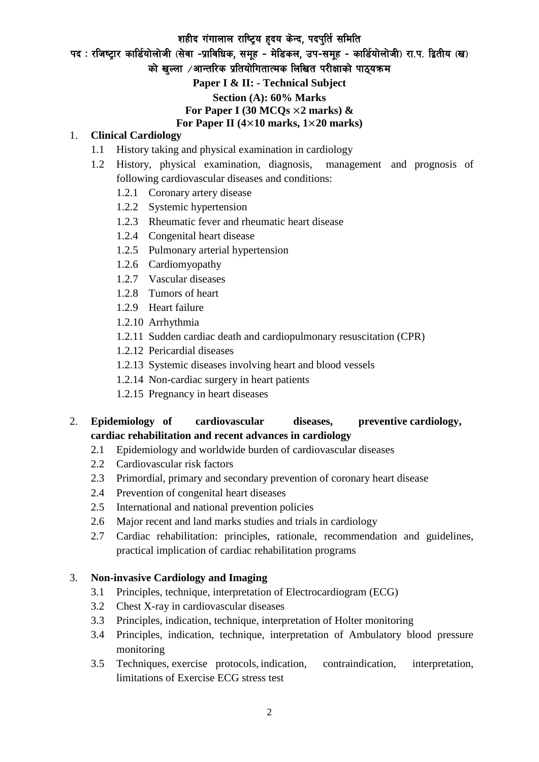पद: रजिष्ट्रार कार्डियोलोजी (सेवा -प्राविधिक, समूह - मेडिकल, उप-समूह - कार्डियोलोजी) रा.प. द्वितीय (ख)

को खल्ला  $\ell$ आन्तरिक प्रतियोगितात्मक लिखित परीक्षाको पाठयक्रम

**Paper I & II: - Technical Subject**

**Section (A): 60% Marks**

### **For Paper I (30 MCQs** ×**2 marks) &**

### **For Paper II (4**×**10 marks, 1**×**20 marks)**

#### 1. **Clinical Cardiology**

- 1.1 History taking and physical examination in cardiology
- 1.2 History, physical examination, diagnosis, management and prognosis of following cardiovascular diseases and conditions:
	- 1.2.1 Coronary artery disease
	- 1.2.2 Systemic hypertension
	- 1.2.3 Rheumatic fever and rheumatic heart disease
	- 1.2.4 Congenital heart disease
	- 1.2.5 Pulmonary arterial hypertension
	- 1.2.6 Cardiomyopathy
	- 1.2.7 Vascular diseases
	- 1.2.8 Tumors of heart
	- 1.2.9 Heart failure
	- 1.2.10 Arrhythmia
	- 1.2.11 Sudden cardiac death and cardiopulmonary resuscitation (CPR)
	- 1.2.12 Pericardial diseases
	- 1.2.13 Systemic diseases involving heart and blood vessels
	- 1.2.14 Non-cardiac surgery in heart patients
	- 1.2.15 Pregnancy in heart diseases

# 2. **Epidemiology of cardiovascular diseases, preventive cardiology, cardiac rehabilitation and recent advances in cardiology**

- 2.1 Epidemiology and worldwide burden of cardiovascular diseases
- 2.2 Cardiovascular risk factors
- 2.3 Primordial, primary and secondary prevention of coronary heart disease
- 2.4 Prevention of congenital heart diseases
- 2.5 International and national prevention policies
- 2.6 Major recent and land marks studies and trials in cardiology
- 2.7 Cardiac rehabilitation: principles, rationale, recommendation and guidelines, practical implication of cardiac rehabilitation programs

## 3. **Non-invasive Cardiology and Imaging**

- 3.1 Principles, technique, interpretation of Electrocardiogram (ECG)
- 3.2 Chest X-ray in cardiovascular diseases
- 3.3 Principles, indication, technique, interpretation of Holter monitoring
- 3.4 Principles, indication, technique, interpretation of Ambulatory blood pressure monitoring
- 3.5 Techniques, exercise protocols, indication, contraindication, interpretation, limitations of Exercise ECG stress test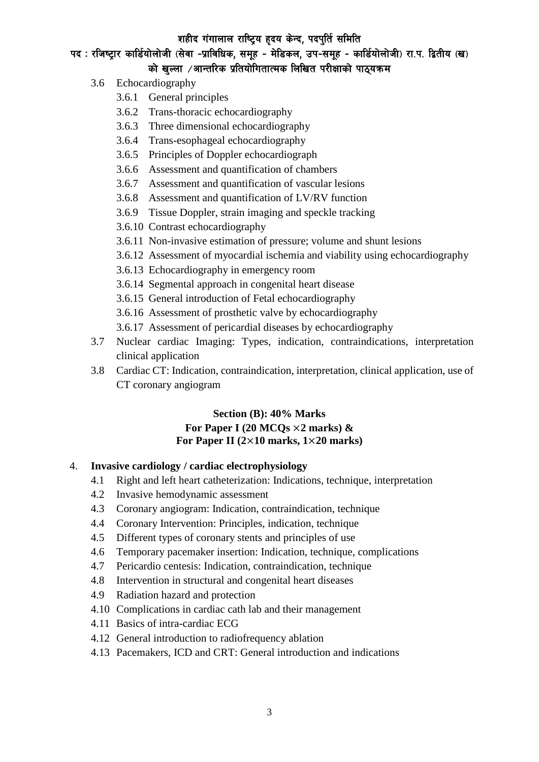पद: रजिष्ट्रार कार्डियोलोजी (सेवा -प्राविधिक, समूह - मेडिकल, उप-समूह - कार्डियोलोजी) रा.प. द्वितीय (ख) को खल्ला  $\angle$ आन्तरिक प्रतियोगितात्मक लिखित परीक्षाको पाठ्यक्रम

- 3.6 Echocardiography
	- 3.6.1 General principles
	- 3.6.2 Trans-thoracic echocardiography
	- 3.6.3 Three dimensional echocardiography
	- 3.6.4 Trans-esophageal echocardiography
	- 3.6.5 Principles of Doppler echocardiograph
	- 3.6.6 Assessment and quantification of chambers
	- 3.6.7 Assessment and quantification of vascular lesions
	- 3.6.8 Assessment and quantification of LV/RV function
	- 3.6.9 Tissue Doppler, strain imaging and speckle tracking
	- 3.6.10 Contrast echocardiography
	- 3.6.11 Non-invasive estimation of pressure; volume and shunt lesions
	- 3.6.12 Assessment of myocardial ischemia and viability using echocardiography
	- 3.6.13 Echocardiography in emergency room
	- 3.6.14 Segmental approach in congenital heart disease
	- 3.6.15 General introduction of Fetal echocardiography
	- 3.6.16 Assessment of prosthetic valve by echocardiography
	- 3.6.17 Assessment of pericardial diseases by echocardiography
- 3.7 Nuclear cardiac Imaging: Types, indication, contraindications, interpretation clinical application
- 3.8 Cardiac CT: Indication, contraindication, interpretation, clinical application, use of CT coronary angiogram

## **Section (B): 40% Marks For Paper I (20 MCQs** ×**2 marks) & For Paper II (2**×**10 marks, 1**×**20 marks)**

#### 4. **Invasive cardiology / cardiac electrophysiology**

- 4.1 Right and left heart catheterization: Indications, technique, interpretation
- 4.2 Invasive hemodynamic assessment
- 4.3 Coronary angiogram: Indication, contraindication, technique
- 4.4 Coronary Intervention: Principles, indication, technique
- 4.5 Different types of coronary stents and principles of use
- 4.6 Temporary pacemaker insertion: Indication, technique, complications
- 4.7 Pericardio centesis: Indication, contraindication, technique
- 4.8 Intervention in structural and congenital heart diseases
- 4.9 Radiation hazard and protection
- 4.10 Complications in cardiac cath lab and their management
- 4.11 Basics of intra-cardiac ECG
- 4.12 General introduction to radiofrequency ablation
- 4.13 Pacemakers, ICD and CRT: General introduction and indications